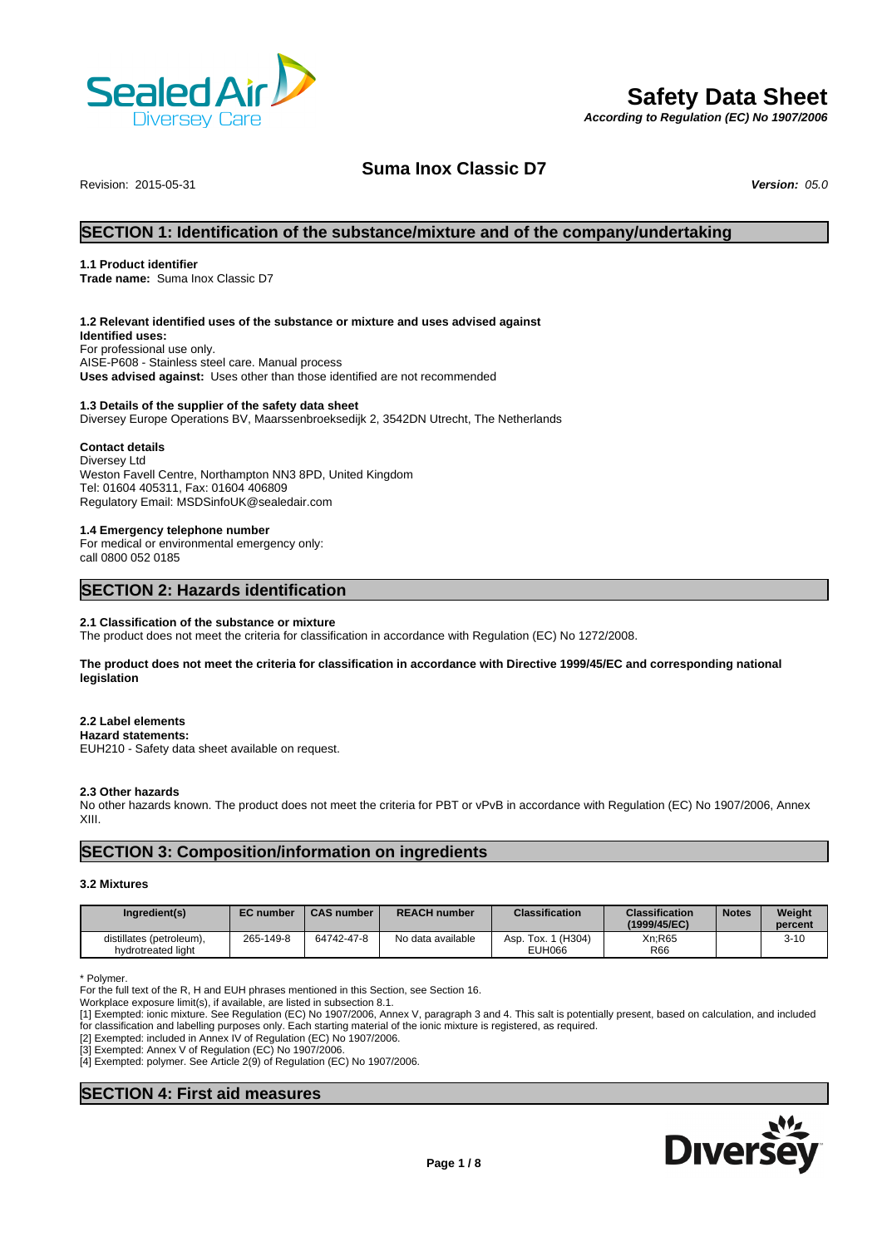

# **Safety Data Sheet**

*According to Regulation (EC) No 1907/2006*

# **Suma Inox Classic D7**

Revision: 2015-05-31 *Version: 05.0*

# **SECTION 1: Identification of the substance/mixture and of the company/undertaking**

#### **1.1 Product identifier**

**Trade name:** Suma Inox Classic D7

#### **1.2 Relevant identified uses of the substance or mixture and uses advised against**

**Identified uses:** For professional use only. AISE-P608 - Stainless steel care. Manual process **Uses advised against:** Uses other than those identified are not recommended

#### **1.3 Details of the supplier of the safety data sheet**

Diversey Europe Operations BV, Maarssenbroeksedijk 2, 3542DN Utrecht, The Netherlands

#### **Contact details**

Diversey Ltd Weston Favell Centre, Northampton NN3 8PD, United Kingdom Tel: 01604 405311, Fax: 01604 406809 Regulatory Email: MSDSinfoUK@sealedair.com

#### **1.4 Emergency telephone number**

For medical or environmental emergency only: call 0800 052 0185

# **SECTION 2: Hazards identification**

#### **2.1 Classification of the substance or mixture**

The product does not meet the criteria for classification in accordance with Regulation (EC) No 1272/2008.

**The product does not meet the criteria for classification in accordance with Directive 1999/45/EC and corresponding national legislation**

#### **2.2 Label elements**

#### **Hazard statements:**

EUH210 - Safety data sheet available on request.

#### **2.3 Other hazards**

No other hazards known. The product does not meet the criteria for PBT or vPvB in accordance with Regulation (EC) No 1907/2006, Annex XIII.

# **SECTION 3: Composition/information on ingredients**

### **3.2 Mixtures**

| Ingredient(s)                                  | <b>EC</b> number | <b>CAS number</b> | <b>REACH number</b> | <b>Classification</b>           | <b>Classification</b><br>(1999/45/EC) | <b>Notes</b> | <b>Weight</b><br>percent |
|------------------------------------------------|------------------|-------------------|---------------------|---------------------------------|---------------------------------------|--------------|--------------------------|
| distillates (petroleum),<br>hydrotreated light | 265-149-8        | 64742-47-8        | No data available   | Tox. 1 (H304)<br>Asp.<br>EUH066 | Xn;R65<br><b>R66</b>                  |              | $3 - 10$                 |

\* Polymer.

For the full text of the R, H and EUH phrases mentioned in this Section, see Section 16.

Workplace exposure limit(s), if available, are listed in subsection 8.1.

[1] Exempted: ionic mixture. See Regulation (EC) No 1907/2006, Annex V, paragraph 3 and 4. This salt is potentially present, based on calculation, and included for classification and labelling purposes only. Each starting material of the ionic mixture is registered, as required.

[2] Exempted: included in Annex IV of Regulation (EC) No 1907/2006.

[3] Exempted: Annex V of Regulation (EC) No 1907/2006.

[4] Exempted: polymer. See Article 2(9) of Regulation (EC) No 1907/2006.

# **SECTION 4: First aid measures**

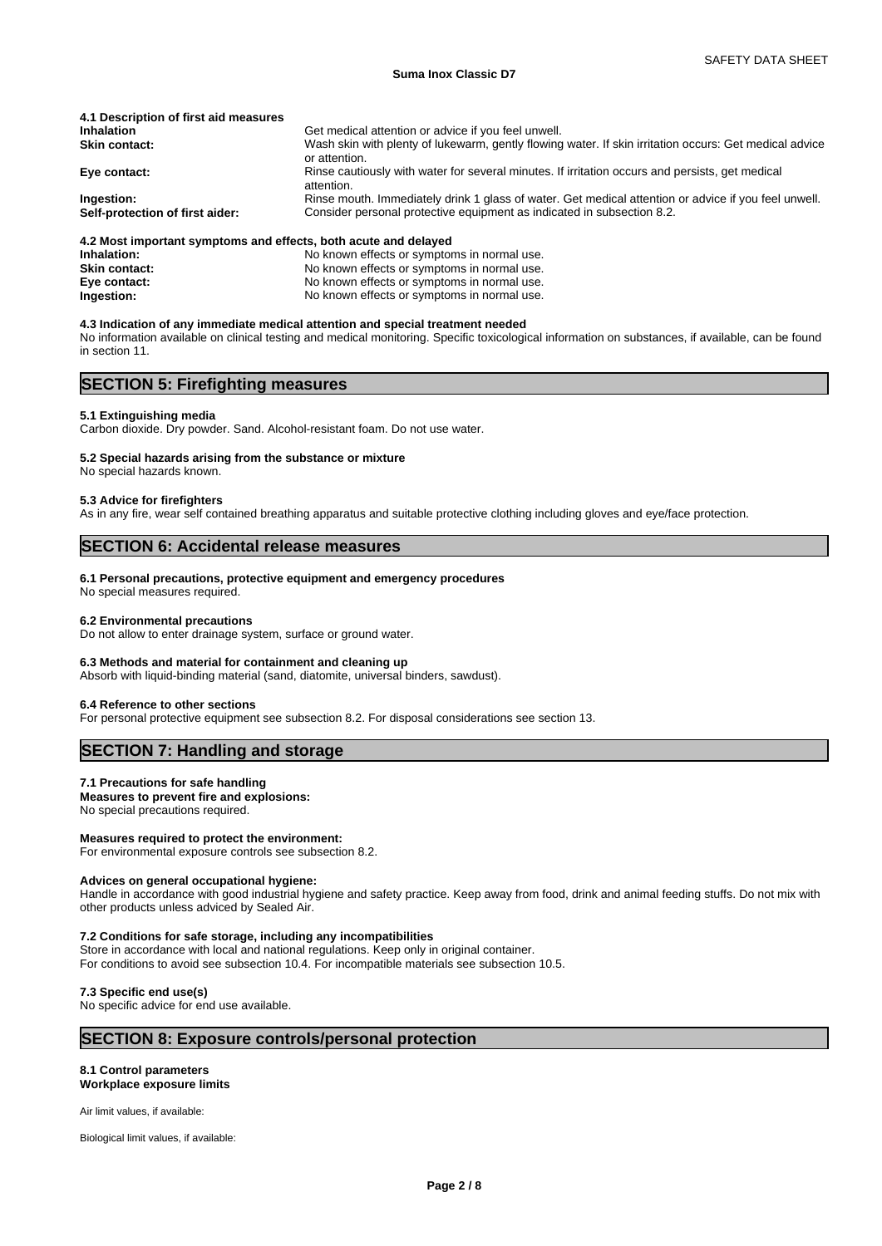#### **Suma Inox Classic D7**

| Get medical attention or advice if you feel unwell.                                                                     |
|-------------------------------------------------------------------------------------------------------------------------|
| Wash skin with plenty of lukewarm, gently flowing water. If skin irritation occurs: Get medical advice<br>or attention. |
| Rinse cautiously with water for several minutes. If irritation occurs and persists, get medical<br>attention.           |
| Rinse mouth. Immediately drink 1 glass of water. Get medical attention or advice if you feel unwell.                    |
| Consider personal protective equipment as indicated in subsection 8.2.                                                  |
|                                                                                                                         |

#### **4.2 Most important symptoms and effects, both acute and delayed**

| Inhalation:          | No known effects or symptoms in normal use. |
|----------------------|---------------------------------------------|
| <b>Skin contact:</b> | No known effects or symptoms in normal use. |
| Eye contact:         | No known effects or symptoms in normal use. |
| Ingestion:           | No known effects or symptoms in normal use. |

#### **4.3 Indication of any immediate medical attention and special treatment needed**

No information available on clinical testing and medical monitoring. Specific toxicological information on substances, if available, can be found in section 11.

# **SECTION 5: Firefighting measures**

#### **5.1 Extinguishing media**

Carbon dioxide. Dry powder. Sand. Alcohol-resistant foam. Do not use water.

#### **5.2 Special hazards arising from the substance or mixture**

No special hazards known.

#### **5.3 Advice for firefighters**

As in any fire, wear self contained breathing apparatus and suitable protective clothing including gloves and eye/face protection.

# **SECTION 6: Accidental release measures**

#### **6.1 Personal precautions, protective equipment and emergency procedures**

No special measures required.

#### **6.2 Environmental precautions**

Do not allow to enter drainage system, surface or ground water.

#### **6.3 Methods and material for containment and cleaning up**

Absorb with liquid-binding material (sand, diatomite, universal binders, sawdust).

#### **6.4 Reference to other sections**

For personal protective equipment see subsection 8.2. For disposal considerations see section 13.

#### **SECTION 7: Handling and storage**

#### **7.1 Precautions for safe handling**

**Measures to prevent fire and explosions:** No special precautions required.

#### **Measures required to protect the environment:**

For environmental exposure controls see subsection 8.2.

#### **Advices on general occupational hygiene:**

Handle in accordance with good industrial hygiene and safety practice. Keep away from food, drink and animal feeding stuffs. Do not mix with other products unless adviced by Sealed Air.

#### **7.2 Conditions for safe storage, including any incompatibilities**

Store in accordance with local and national regulations. Keep only in original container. For conditions to avoid see subsection 10.4. For incompatible materials see subsection 10.5.

#### **7.3 Specific end use(s)**

No specific advice for end use available.

### **SECTION 8: Exposure controls/personal protection**

#### **8.1 Control parameters Workplace exposure limits**

Air limit values, if available:

Biological limit values, if available: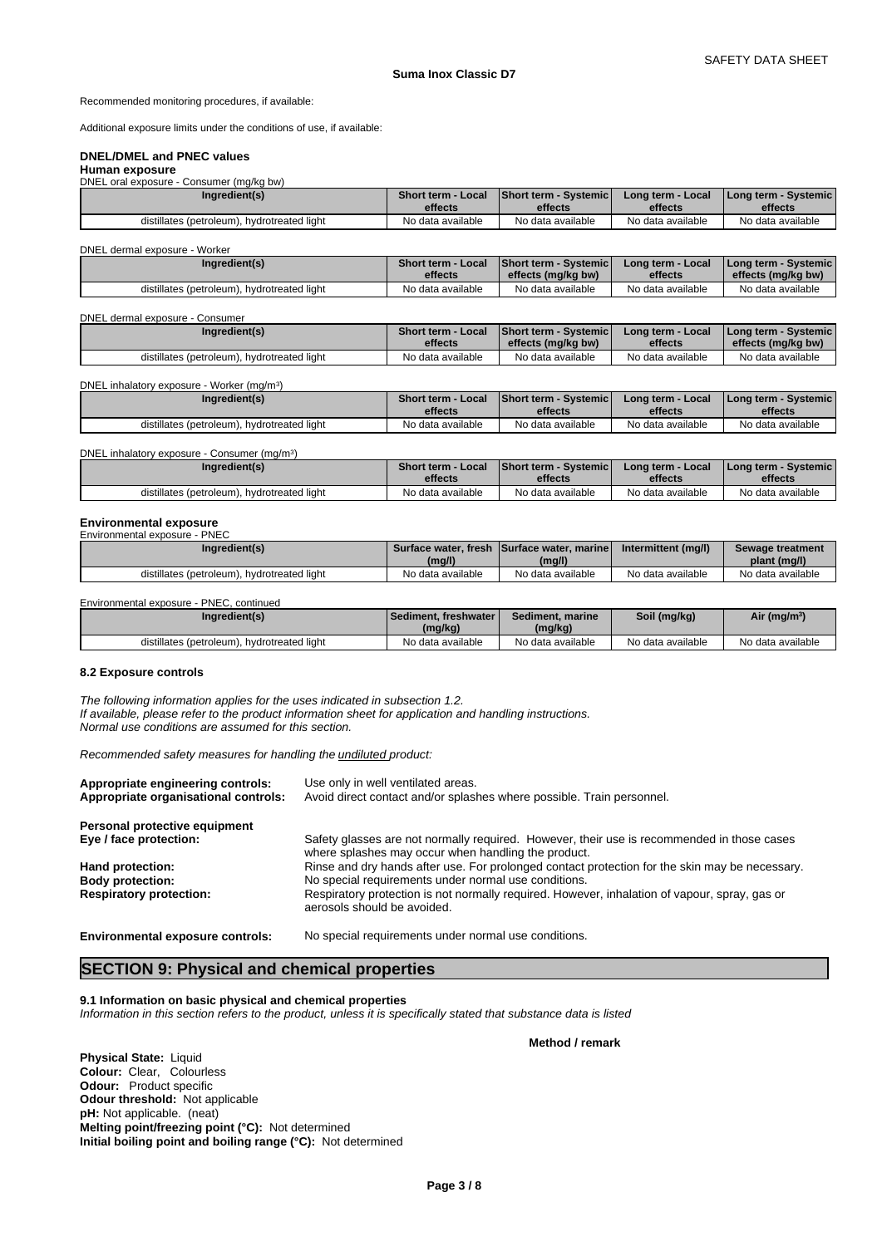Recommended monitoring procedures, if available:

Additional exposure limits under the conditions of use, if available:

# **DNEL/DMEL and PNEC values**

#### **Human exposure** DNEL oral exposure - Consumer (mg/kg bw)

| Ingredient(s)                               | <b>Short term - Local</b> | Short term - Systemic | Long term - Local | l Long term - Svstemic l |
|---------------------------------------------|---------------------------|-----------------------|-------------------|--------------------------|
|                                             | effects                   | effects               | effects           | effects                  |
| distillates (petroleum), hydrotreated light | No data available         | No data available     | No data available | No data available        |

#### DNEL dermal exposure - Worker

| Ingredient(s)                               | <b>Short term - Local</b> | <b>Short term - Systemic</b> | Long term - Local | l Long term - Svstemic l |
|---------------------------------------------|---------------------------|------------------------------|-------------------|--------------------------|
|                                             | effects                   | effects (mg/kg bw)           | effects           | effects (mg/kg bw)       |
| distillates (petroleum), hydrotreated light | No data available         | No data available            | No data available | No data available        |

#### DNEL dermal exposure - Consumer

| Ingredient(s)                               | <b>Short term - Local</b> | <b>Short term - Systemicl</b> | Long term - Local | <b>I Long term - Systemic I</b> |
|---------------------------------------------|---------------------------|-------------------------------|-------------------|---------------------------------|
|                                             | effects                   | effects (mg/kg bw)            | effects           | effects (mg/kg bw)              |
| distillates (petroleum), hydrotreated light | No data available         | No data available             | No data available | No data available               |

DNEL inhalatory exposure - Worker (mg/m<sup>3</sup>  $)$ 

| Ingredient(s)                               | <b>Short term - Local</b> | <b>Short term - Systemicl</b> | Long term - Local | l Long term - Svstemic l |
|---------------------------------------------|---------------------------|-------------------------------|-------------------|--------------------------|
|                                             | effects                   | effects                       | effects           | effects                  |
| distillates (petroleum), hydrotreated light | No data available         | No data available             | No data available | No data available        |

#### DNEL inhalatory exposure - Consumer (mg/m<sup>3</sup>)  $)$

| Ingredient(s)                               | Short term - Local | Short term - Systemic | Long term - Local | l Long term - Svstemic l |
|---------------------------------------------|--------------------|-----------------------|-------------------|--------------------------|
|                                             | effects            | effects               | effects           | effects                  |
| distillates (petroleum), hydrotreated light | No data available  | No data available     | No data available | No data available        |

#### **Environmental exposure**

| Environmental exposure - PNEC               |                   |                                            |                     |                   |
|---------------------------------------------|-------------------|--------------------------------------------|---------------------|-------------------|
| Ingredient(s)                               |                   | Surface water, fresh Surface water, marine | Intermittent (mg/l) | Sewage treatment  |
|                                             | (mg/l)            | (mg/l)                                     |                     | plant (mg/l)      |
| distillates (petroleum), hydrotreated light | No data available | No data available                          | No data available   | No data available |

Environmental exposure - PNEC, continued

| Ingredient(s)                                    | l Sediment, freshwater<br>(mg/kg) | Sediment, marine<br>(mg/kg) | Soil (mg/kg)      | Air (mg/m <sup>3</sup> ) |
|--------------------------------------------------|-----------------------------------|-----------------------------|-------------------|--------------------------|
| . hvdrotreated light<br>distillates (petroleum). | No data available                 | No data available           | No data available | No data available        |

#### **8.2 Exposure controls**

*The following information applies for the uses indicated in subsection 1.2. If available, please refer to the product information sheet for application and handling instructions. Normal use conditions are assumed for this section.*

*Recommended safety measures for handling the undiluted product:*

| Appropriate engineering controls:<br>Appropriate organisational controls: | Use only in well ventilated areas.<br>Avoid direct contact and/or splashes where possible. Train personnel.                                       |
|---------------------------------------------------------------------------|---------------------------------------------------------------------------------------------------------------------------------------------------|
| Personal protective equipment                                             |                                                                                                                                                   |
| Eye / face protection:                                                    | Safety glasses are not normally required. However, their use is recommended in those cases<br>where splashes may occur when handling the product. |
| Hand protection:                                                          | Rinse and dry hands after use. For prolonged contact protection for the skin may be necessary.                                                    |
| <b>Body protection:</b>                                                   | No special requirements under normal use conditions.                                                                                              |
| <b>Respiratory protection:</b>                                            | Respiratory protection is not normally required. However, inhalation of vapour, spray, gas or<br>aerosols should be avoided.                      |
|                                                                           |                                                                                                                                                   |

**Environmental exposure controls:** No special requirements under normal use conditions.

# **SECTION 9: Physical and chemical properties**

# **9.1 Information on basic physical and chemical properties**

*Information in this section refers to the product, unless it is specifically stated that substance data is listed*

**Physical State:** Liquid **Colour:** Clear, Colourless **Odour:** Product specific **Odour threshold:** Not applicable **pH:** Not applicable. (neat) **Melting point/freezing point (°C):** Not determined **Initial boiling point and boiling range (°C):** Not determined

# **Method / remark**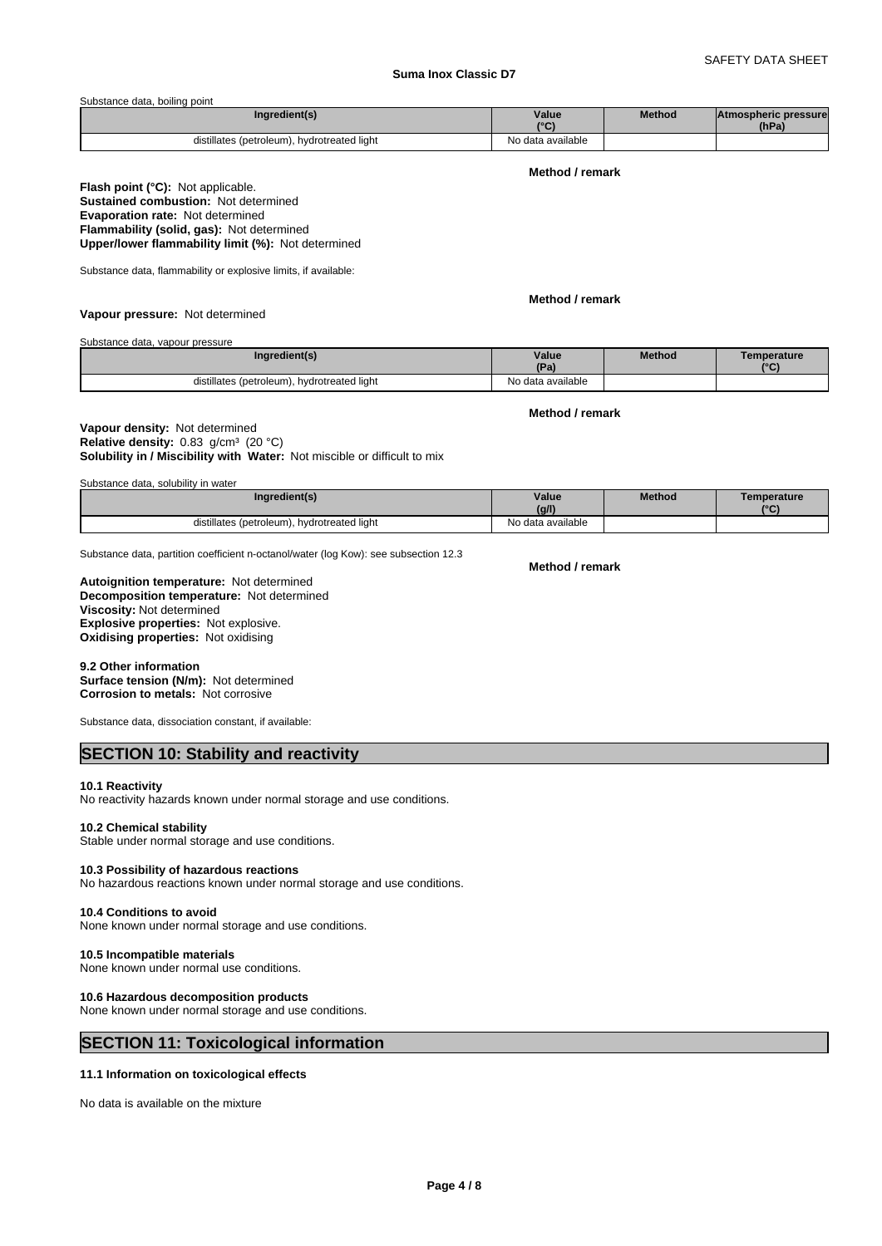# **Suma Inox Classic D7**

#### Substance data, boiling point

| Inaredient(s)                                  | Value<br>10 <sup>o</sup> | Method | <b>Atmospheric pressure</b><br>(hPa) |  |
|------------------------------------------------|--------------------------|--------|--------------------------------------|--|
| hydrotreated light<br>distillates (petroleum). | No data available        |        |                                      |  |

# **Method / remark**

#### **Flash point (°C):** Not applicable. **Sustained combustion:** Not determined **Evaporation rate:** Not determined **Flammability (solid, gas):** Not determined **Upper/lower flammability limit (%):** Not determined

Substance data, flammability or explosive limits, if available:

**Method / remark**

**Vapour pressure:** Not determined

Substance data, vapour pressure

| Ingredient(s)                               | Value             | <b>Method</b> | Temperature  |
|---------------------------------------------|-------------------|---------------|--------------|
|                                             | (Pa)              |               | $10^{\circ}$ |
| distillates (petroleum), hydrotreated light | No data available |               |              |

**Method / remark**

**Solubility in / Miscibility with Water:** Not miscible or difficult to mix **Vapour density:** Not determined **Relative density:** 0.83 g/cm<sup>3</sup> (20 °C)

| Substance data, solubility in water |  |  |  |
|-------------------------------------|--|--|--|
|                                     |  |  |  |

| Ingredient(s)                                    | Value<br>(q/1)    | <b>Method</b> | Temperature<br>10 <sup>2</sup> |
|--------------------------------------------------|-------------------|---------------|--------------------------------|
| hydrotreated light<br>distillates (petroleum), h | No data available |               |                                |

Substance data, partition coefficient n-octanol/water (log Kow): see subsection 12.3

**Decomposition temperature:** Not determined **Autoignition temperature:** Not determined **Viscosity:** Not determined **Explosive properties:** Not explosive. **Oxidising properties:** Not oxidising

#### **9.2 Other information Surface tension (N/m):** Not determined **Corrosion to metals:** Not corrosive

Substance data, dissociation constant, if available:

# **SECTION 10: Stability and reactivity**

#### **10.1 Reactivity**

No reactivity hazards known under normal storage and use conditions.

#### **10.2 Chemical stability**

Stable under normal storage and use conditions.

#### **10.3 Possibility of hazardous reactions**

No hazardous reactions known under normal storage and use conditions.

#### **10.4 Conditions to avoid**

None known under normal storage and use conditions.

#### **10.5 Incompatible materials**

None known under normal use conditions.

#### **10.6 Hazardous decomposition products**

None known under normal storage and use conditions.

# **SECTION 11: Toxicological information**

# **11.1 Information on toxicological effects**

No data is available on the mixture

**Method / remark**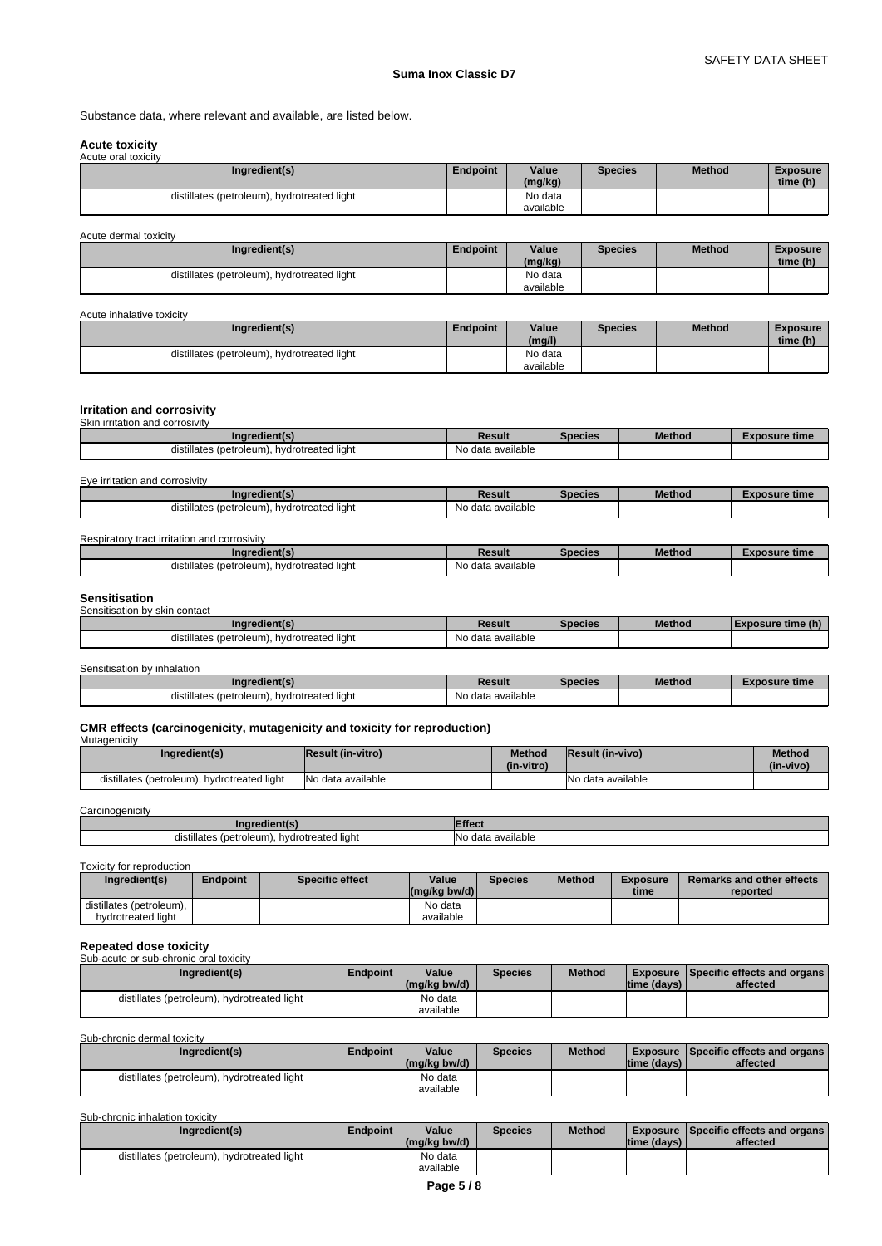Substance data, where relevant and available, are listed below.

#### **Acute toxicity** Acute oral toxicity

| <b><i>I</i></b> wate oral toxiony<br>Ingredient(s) | <b>Endpoint</b> | Value<br>(mg/kg) | <b>Species</b> | <b>Method</b> | <b>Exposure</b><br>time (h) |
|----------------------------------------------------|-----------------|------------------|----------------|---------------|-----------------------------|
| distillates (petroleum), hydrotreated light        |                 | No data          |                |               |                             |
|                                                    |                 | available        |                |               |                             |

| Acute dermal toxicity                       |                 |                      |                |               |                             |
|---------------------------------------------|-----------------|----------------------|----------------|---------------|-----------------------------|
| Ingredient(s)                               | <b>Endpoint</b> | Value<br>(mg/kg)     | <b>Species</b> | <b>Method</b> | <b>Exposure</b><br>time (h) |
| distillates (petroleum), hydrotreated light |                 | No data<br>available |                |               |                             |

Acute inhalative toxicity

| Ingredient(s)                               | <b>Endpoint</b> | Value<br>(mg/l)      | <b>Species</b> | Method | <b>Exposure</b><br>time (h) |  |
|---------------------------------------------|-----------------|----------------------|----------------|--------|-----------------------------|--|
| distillates (petroleum), hydrotreated light |                 | No data<br>available |                |        |                             |  |

#### **Irritation and corrosivity**

Skin irritation and corrosivity

| edient(s                                                     | Result                             | Species | <b>Method</b> | osure time |
|--------------------------------------------------------------|------------------------------------|---------|---------------|------------|
| hydrotreated<br>™ates (petroleum). .<br>distillates<br>liaht | available<br>$\sim$<br>uald<br>'NU |         |               |            |

#### Eye irritation and corrosivity

| Ingredient(s)                                          | Result                        | Species | <b>Method</b> | osure time<br>и. |
|--------------------------------------------------------|-------------------------------|---------|---------------|------------------|
| .<br>hydrotreated light<br>. (petroleum)<br>istillates | $\cdots$<br>No data available |         |               |                  |

Respiratory tract irritation and corrosivity

| (indredient(s)                                   | Result            | Species | <b>Method</b> | osure time |
|--------------------------------------------------|-------------------|---------|---------------|------------|
| distillates (petroleum).<br>. hvdrotreated light | No data available |         |               |            |

#### **Sensitisation** Sensitisation by skin contact

| <b>UCHOILOGILUI DV SNII CUILLACL</b>           |                   |                |               |                   |
|------------------------------------------------|-------------------|----------------|---------------|-------------------|
| Ingredient(s)                                  | Result            | <b>Species</b> | <b>Method</b> | Exposure time (h) |
| hydrotreated light<br>distillates (petroleum). | No data available |                |               |                   |

Sensitisation by inhalation

| Ingredient(s)                                       | Result                        | Species | <b>Method</b> | _xposure time |
|-----------------------------------------------------|-------------------------------|---------|---------------|---------------|
| hydrotreated light<br>: (petroleum).<br>distillates | $\cdots$<br>No data available |         |               |               |

# **CMR effects (carcinogenicity, mutagenicity and toxicity for reproduction)** Mutagenicity

| <b>Mutadenicity</b>                         |                          |                             |                   |               |
|---------------------------------------------|--------------------------|-----------------------------|-------------------|---------------|
| Ingredient(s)                               | <b>Result (in-vitro)</b> | <b>Method</b><br>(in-vitro) | Result (in-vivo)  | <b>Method</b> |
|                                             |                          |                             |                   | (in-vivo)     |
| distillates (petroleum), hydrotreated light | No data available        |                             | No data available |               |

**Carcinogenicity** 

| .naredientl                                             | ---<br>ffor<br>TICO.                         |
|---------------------------------------------------------|----------------------------------------------|
| <br>: (petroleum).<br>hvdrotreated light<br>distillates | .<br>ı available<br>lΝo<br>$-$ dot:<br>∍ uau |

Toxicity for reproduction

| Ingredient(s)                                  | Endpoint | <b>Specific effect</b> | Value<br>$(mg/kg$ bw/d) | <b>Species</b> | <b>Method</b> | <b>Exposure</b><br>time | <b>Remarks and other effects</b><br>reported |
|------------------------------------------------|----------|------------------------|-------------------------|----------------|---------------|-------------------------|----------------------------------------------|
| distillates (petroleum),<br>hydrotreated light |          |                        | No data<br>available    |                |               |                         |                                              |

#### **Repeated dose toxicity**<br>Sub acute or sub chronic aral toxicity sacute or sub-chronic

| <u>UUD UUULU ULUUD ULIIULIID ULUL IUAIULIV</u> |          |              |         |               |              |                                               |
|------------------------------------------------|----------|--------------|---------|---------------|--------------|-----------------------------------------------|
| Ingredient(s)                                  | Endpoint | Value        | Species | <b>Method</b> |              | <b>Exposure Specific effects and organs I</b> |
|                                                |          | (mg/kg bw/d) |         |               | Itime (davs) | affected                                      |
| distillates (petroleum), hydrotreated light    |          | No data      |         |               |              |                                               |
|                                                |          | available    |         |               |              |                                               |

Sub-chronic dermal toxicity

| Ingredient(s)                               | <b>Endpoint</b> | Value<br>(mg/kg bw/d) | Species | <b>Method</b> | time (days) | <b>Exposure Specific effects and organs I</b><br>affected |
|---------------------------------------------|-----------------|-----------------------|---------|---------------|-------------|-----------------------------------------------------------|
| distillates (petroleum), hydrotreated light |                 | No data<br>available  |         |               |             |                                                           |

Sub-chronic inhalation toxicity

| No data<br>distillates (petroleum), hydrotreated light | Ingredient(s) | <b>Endpoint</b> | Value<br>(mg/kg bw/d) | Species | <b>Method</b> | time (days) | <b>Exposure Specific effects and organs  </b><br>affected |
|--------------------------------------------------------|---------------|-----------------|-----------------------|---------|---------------|-------------|-----------------------------------------------------------|
|                                                        |               |                 | available             |         |               |             |                                                           |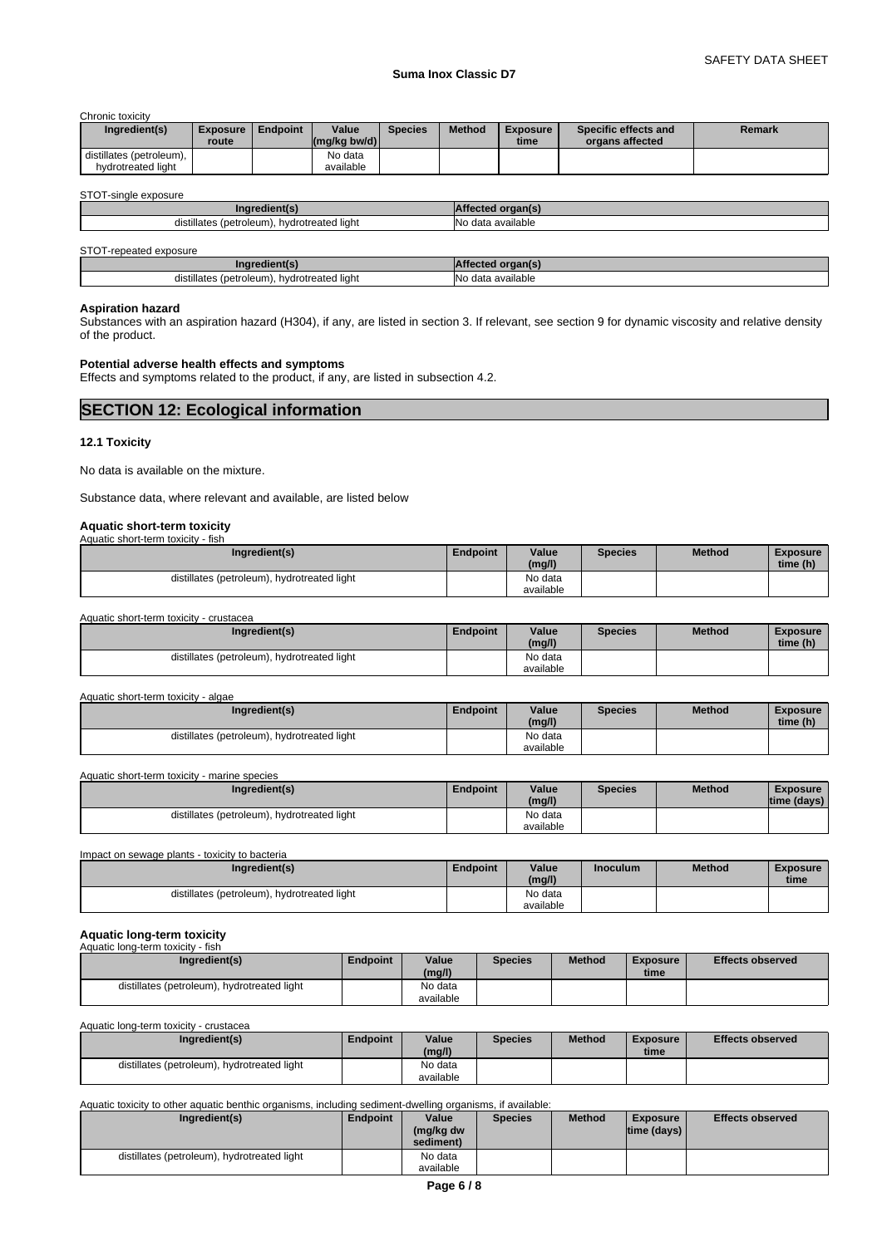#### **Suma Inox Classic D7**

Chronic toxicity

| Ingredient(s)                                  | <b>Exposure</b><br>route | <b>Endpoint</b> | Value<br>$\left \frac{\text{mg}}{\text{kg}}\right $ (mg/kg bw/d) | <b>Species</b> | <b>Method</b> | <b>Exposure</b><br>time | Specific effects and<br>organs affected | Remark |
|------------------------------------------------|--------------------------|-----------------|------------------------------------------------------------------|----------------|---------------|-------------------------|-----------------------------------------|--------|
| distillates (petroleum).<br>hydrotreated light |                          |                 | No data<br>available                                             |                |               |                         |                                         |        |

#### STOT-single exposure

| ---                                                                                         |                           |
|---------------------------------------------------------------------------------------------|---------------------------|
| $\cdots$<br>distillates<br>' liaht:<br>∩le⊔m<br>hydrotreated<br><i>(petroleu)</i><br>$\sim$ | INc<br>`available<br>data |

STOT-repeated exposure

| nare                                                                |                                      |
|---------------------------------------------------------------------|--------------------------------------|
| $\cdot$ .<br>.<br>(petroleum).<br>hvdrotreated light<br>distillates | $\cdots$<br>available<br>$\sim$<br>u |

#### **Aspiration hazard**

Substances with an aspiration hazard (H304), if any, are listed in section 3. If relevant, see section 9 for dynamic viscosity and relative density of the product.

#### **Potential adverse health effects and symptoms**

Effects and symptoms related to the product, if any, are listed in subsection 4.2.

**SECTION 12: Ecological information** 

#### **12.1 Toxicity**

No data is available on the mixture.

Substance data, where relevant and available, are listed below

# **Aquatic short-term toxicity**

| Aquatic short-term toxicity - fish          |                 |           |                |               |                 |
|---------------------------------------------|-----------------|-----------|----------------|---------------|-----------------|
| Ingredient(s)                               | <b>Endpoint</b> | Value     | <b>Species</b> | <b>Method</b> | <b>Exposure</b> |
|                                             |                 | (mg/l)    |                |               | time (h)        |
| distillates (petroleum), hydrotreated light |                 | No data   |                |               |                 |
|                                             |                 | available |                |               |                 |

Aquatic short-term toxicity - crustacea

| Ingredient(s)                                  | <b>Endpoint</b> | Value<br>(mg/l)      | Species | Method | Exposure<br>time (h) |
|------------------------------------------------|-----------------|----------------------|---------|--------|----------------------|
| distillates (petroleum),<br>hydrotreated light |                 | No data<br>available |         |        |                      |

Aquatic short-term toxicity - algae

| Ingredient(s)                               | Endpoint | Value<br>(mg/l) | <b>Species</b> | <b>Method</b> | <b>Exposure</b><br>time (h) |
|---------------------------------------------|----------|-----------------|----------------|---------------|-----------------------------|
| distillates (petroleum), hydrotreated light |          | No data         |                |               |                             |
|                                             |          | available       |                |               |                             |

Aquatic short-term toxicity - marine species

| Ingredient(s)                               | Endpoint | Value<br>(mg/l)      | <b>Species</b> | <b>Method</b> | <b>Exposure</b><br>Itime (davs) |  |
|---------------------------------------------|----------|----------------------|----------------|---------------|---------------------------------|--|
| distillates (petroleum), hydrotreated light |          | No data<br>available |                |               |                                 |  |

| Impact on sewage plants - toxicity to bacteria |                 |           |                 |               |                 |
|------------------------------------------------|-----------------|-----------|-----------------|---------------|-----------------|
| Ingredient(s)                                  | <b>Endpoint</b> | Value     | <b>Inoculum</b> | <b>Method</b> | <b>Exposure</b> |
|                                                |                 | (mg/l)    |                 |               | time            |
| distillates (petroleum), hydrotreated light    |                 | No data   |                 |               |                 |
|                                                |                 | available |                 |               |                 |

# **Aquatic long-term toxicity**

| Aquatic long-term toxicity - fish           |                 |           |                |               |          |                         |
|---------------------------------------------|-----------------|-----------|----------------|---------------|----------|-------------------------|
| Ingredient(s)                               | <b>Endpoint</b> | Value     | <b>Species</b> | <b>Method</b> | Exposure | <b>Effects observed</b> |
|                                             |                 | (mg/l)    |                |               | time     |                         |
| distillates (petroleum), hydrotreated light |                 | No data   |                |               |          |                         |
|                                             |                 | available |                |               |          |                         |

Aquatic long-term toxicity - crustacea

| Ingredient(s)                               | Endpoint | Value                | <b>Species</b> | <b>Method</b> | Exposure | <b>Effects observed</b> |
|---------------------------------------------|----------|----------------------|----------------|---------------|----------|-------------------------|
|                                             |          | (mg/l)               |                |               | time     |                         |
| distillates (petroleum), hydrotreated light |          | No data<br>available |                |               |          |                         |

Aquatic toxicity to other aquatic benthic organisms, including sediment-dwelling organisms, if available:

| Ingredient(s)                               | Endpoint | Value<br>(mg/kg dw<br>sediment) | <b>Species</b> | <b>Method</b> | <b>Exposure</b><br>$ time$ (days) $ $ | <b>Effects observed</b> |
|---------------------------------------------|----------|---------------------------------|----------------|---------------|---------------------------------------|-------------------------|
| distillates (petroleum), hydrotreated light |          | No data<br>available            |                |               |                                       |                         |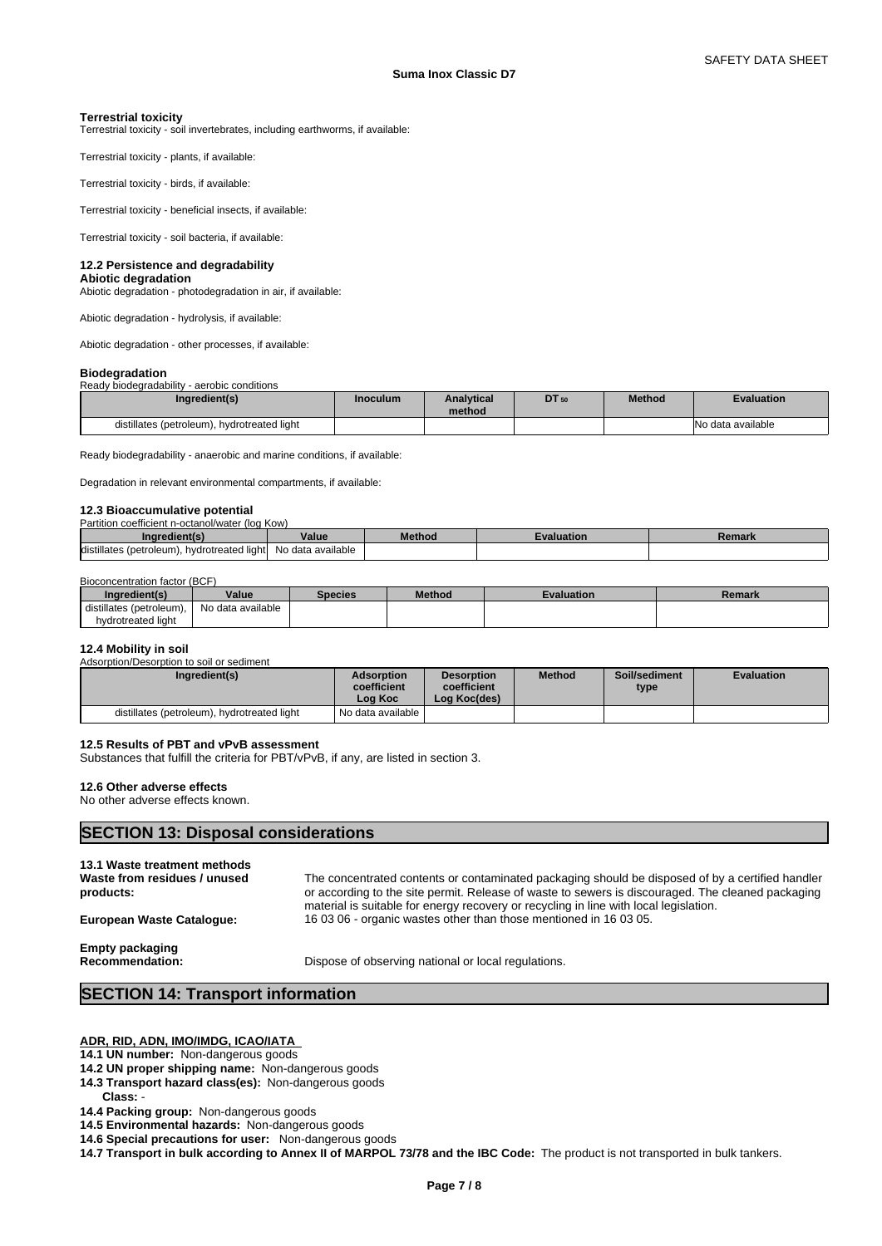**Terrestrial toxicity** Terrestrial toxicity - soil invertebrates, including earthworms, if available:

Terrestrial toxicity - plants, if available:

Terrestrial toxicity - birds, if available:

Terrestrial toxicity - beneficial insects, if available:

Terrestrial toxicity - soil bacteria, if available:

#### **12.2 Persistence and degradability**

**Abiotic degradation** Abiotic degradation - photodegradation in air, if available:

Abiotic degradation - hydrolysis, if available:

Abiotic degradation - other processes, if available:

#### **Biodegradation**

| ------------                                |          |                             |       |               |                   |  |
|---------------------------------------------|----------|-----------------------------|-------|---------------|-------------------|--|
| Ready biodegradability - aerobic conditions |          |                             |       |               |                   |  |
| Ingredient(s)                               | Inoculum | <b>Analytical</b><br>method | DT 50 | <b>Method</b> | <b>Evaluation</b> |  |
| distillates (petroleum), hydrotreated light |          |                             |       |               | No data available |  |

Ready biodegradability - anaerobic and marine conditions, if available:

Degradation in relevant environmental compartments, if available:

# **12.3 Bioaccumulative potential**

| Partition coefficient n-octanol/water (log Kow)   |                   |        |           |        |
|---------------------------------------------------|-------------------|--------|-----------|--------|
| Ingredient(s)                                     | Value             | Method | valuation | Remark |
| distillates (petroleum),<br>. hvdrotreated lightl | No data available |        |           |        |

#### Bioconcentration factor (BCF)

| Ingredient(s)            | Value             | <b>Species</b> | Method | Evaluation | Remark |
|--------------------------|-------------------|----------------|--------|------------|--------|
| distillates (petroleum), | No data available |                |        |            |        |
| hydrotreated light       |                   |                |        |            |        |

#### **12.4 Mobility in soil**

Adsorption/Desorption to soil or sediment

| Ingredient(s)                               | Adsorption<br>coefficient<br>∟oa Koc | <b>Desorption</b><br>coefficient<br>Log Koc(des) | <b>Method</b> | Soil/sediment<br>type | <b>Evaluation</b> |
|---------------------------------------------|--------------------------------------|--------------------------------------------------|---------------|-----------------------|-------------------|
| distillates (petroleum), hydrotreated light | I No data available I                |                                                  |               |                       |                   |

#### **12.5 Results of PBT and vPvB assessment**

Substances that fulfill the criteria for PBT/vPvB, if any, are listed in section 3.

#### **12.6 Other adverse effects**

No other adverse effects known.

# **SECTION 13: Disposal considerations**

| products:                 | or according to the site permit. Release of waste to sewers is discouraged. The cleaned packaging |
|---------------------------|---------------------------------------------------------------------------------------------------|
| European Waste Catalogue: | material is suitable for energy recovery or recycling in line with local legislation.             |
| <b>Empty packaging</b>    | 160306 - organic wastes other than those mentioned in 160305.                                     |
| Recommendation:           | Dispose of observing national or local regulations.                                               |

# **SECTION 14: Transport information**

**ADR, RID, ADN, IMO/IMDG, ICAO/IATA** 

#### **14.1 UN number:** Non-dangerous goods

- **14.2 UN proper shipping name:** Non-dangerous goods
- **14.3 Transport hazard class(es):** Non-dangerous goods
- Class:
- **14.4 Packing group:** Non-dangerous goods **14.5 Environmental hazards:** Non-dangerous goods
- **14.6 Special precautions for user:** Non-dangerous goods

**14.7 Transport in bulk according to Annex II of MARPOL 73/78 and the IBC Code:** The product is not transported in bulk tankers.